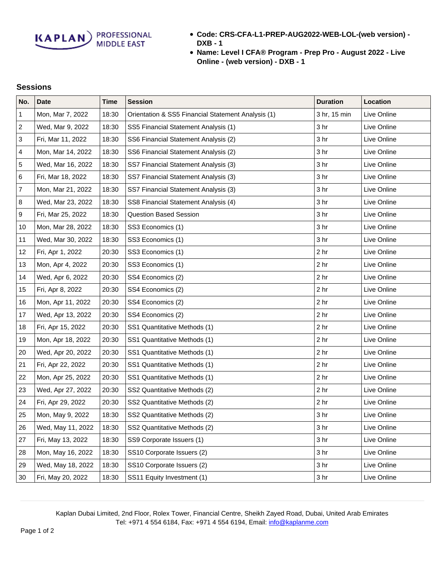**KAPLAN** PROFESSIONAL

- **Code: CRS-CFA-L1-PREP-AUG2022-WEB-LOL-(web version) - DXB - 1**
- **Name: Level I CFA® Program Prep Pro August 2022 Live Online - (web version) - DXB - 1**

## **Sessions**

| No.              | <b>Date</b>       | <b>Time</b> | <b>Session</b>                                     | <b>Duration</b> | Location    |
|------------------|-------------------|-------------|----------------------------------------------------|-----------------|-------------|
| 1                | Mon, Mar 7, 2022  | 18:30       | Orientation & SS5 Financial Statement Analysis (1) | 3 hr, 15 min    | Live Online |
| $\sqrt{2}$       | Wed, Mar 9, 2022  | 18:30       | SS5 Financial Statement Analysis (1)               | 3 hr            | Live Online |
| 3                | Fri, Mar 11, 2022 | 18:30       | SS6 Financial Statement Analysis (2)               | 3 hr            | Live Online |
| 4                | Mon, Mar 14, 2022 | 18:30       | SS6 Financial Statement Analysis (2)               | 3 hr            | Live Online |
| 5                | Wed, Mar 16, 2022 | 18:30       | SS7 Financial Statement Analysis (3)               | 3 hr            | Live Online |
| 6                | Fri, Mar 18, 2022 | 18:30       | SS7 Financial Statement Analysis (3)               | 3 <sub>hr</sub> | Live Online |
| $\boldsymbol{7}$ | Mon, Mar 21, 2022 | 18:30       | SS7 Financial Statement Analysis (3)               | 3 hr            | Live Online |
| 8                | Wed, Mar 23, 2022 | 18:30       | SS8 Financial Statement Analysis (4)               | 3 <sub>hr</sub> | Live Online |
| $\boldsymbol{9}$ | Fri, Mar 25, 2022 | 18:30       | <b>Question Based Session</b>                      | 3 <sub>hr</sub> | Live Online |
| 10               | Mon, Mar 28, 2022 | 18:30       | SS3 Economics (1)                                  | 3 hr            | Live Online |
| 11               | Wed, Mar 30, 2022 | 18:30       | SS3 Economics (1)                                  | 3 hr            | Live Online |
| 12               | Fri, Apr 1, 2022  | 20:30       | SS3 Economics (1)                                  | 2 <sub>hr</sub> | Live Online |
| 13               | Mon, Apr 4, 2022  | 20:30       | SS3 Economics (1)                                  | 2 <sub>hr</sub> | Live Online |
| 14               | Wed, Apr 6, 2022  | 20:30       | SS4 Economics (2)                                  | 2 <sub>hr</sub> | Live Online |
| 15               | Fri, Apr 8, 2022  | 20:30       | SS4 Economics (2)                                  | 2 <sub>hr</sub> | Live Online |
| 16               | Mon, Apr 11, 2022 | 20:30       | SS4 Economics (2)                                  | 2 <sub>hr</sub> | Live Online |
| 17               | Wed, Apr 13, 2022 | 20:30       | SS4 Economics (2)                                  | 2 <sub>hr</sub> | Live Online |
| 18               | Fri, Apr 15, 2022 | 20:30       | SS1 Quantitative Methods (1)                       | 2 <sub>hr</sub> | Live Online |
| 19               | Mon, Apr 18, 2022 | 20:30       | SS1 Quantitative Methods (1)                       | 2 <sub>hr</sub> | Live Online |
| 20               | Wed, Apr 20, 2022 | 20:30       | SS1 Quantitative Methods (1)                       | 2 <sub>hr</sub> | Live Online |
| 21               | Fri, Apr 22, 2022 | 20:30       | SS1 Quantitative Methods (1)                       | 2 <sub>hr</sub> | Live Online |
| 22               | Mon, Apr 25, 2022 | 20:30       | SS1 Quantitative Methods (1)                       | 2 <sub>hr</sub> | Live Online |
| 23               | Wed, Apr 27, 2022 | 20:30       | SS2 Quantitative Methods (2)                       | 2 <sub>hr</sub> | Live Online |
| 24               | Fri, Apr 29, 2022 | 20:30       | SS2 Quantitative Methods (2)                       | 2 <sub>hr</sub> | Live Online |
| 25               | Mon, May 9, 2022  | 18:30       | SS2 Quantitative Methods (2)                       | 3 <sub>hr</sub> | Live Online |
| 26               | Wed, May 11, 2022 | 18:30       | SS2 Quantitative Methods (2)                       | 3 <sub>hr</sub> | Live Online |
| 27               | Fri, May 13, 2022 | 18:30       | SS9 Corporate Issuers (1)                          | 3 <sub>hr</sub> | Live Online |
| 28               | Mon, May 16, 2022 | 18:30       | SS10 Corporate Issuers (2)                         | 3 hr            | Live Online |
| 29               | Wed, May 18, 2022 | 18:30       | SS10 Corporate Issuers (2)                         | 3 <sub>hr</sub> | Live Online |
| 30               | Fri, May 20, 2022 | 18:30       | SS11 Equity Investment (1)                         | 3 hr            | Live Online |

Kaplan Dubai Limited, 2nd Floor, Rolex Tower, Financial Centre, Sheikh Zayed Road, Dubai, United Arab Emirates Tel: +971 4 554 6184, Fax: +971 4 554 6194, Email: [info@kaplanme.com](mailto:info@kaplanme.com)